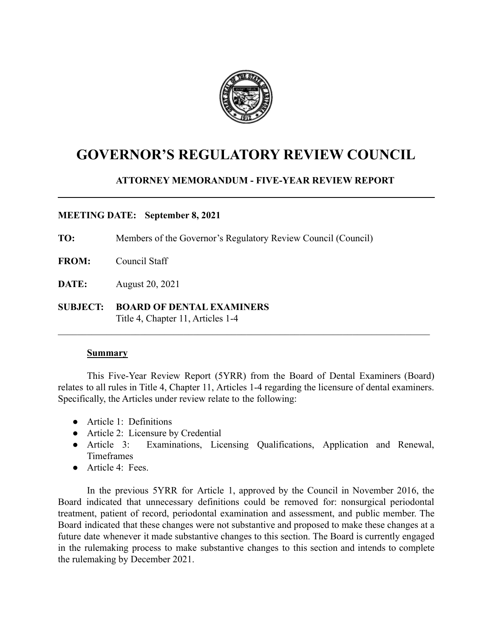

# **GOVERNOR'S REGULATORY REVIEW COUNCIL**

# **ATTORNEY MEMORANDUM - FIVE-YEAR REVIEW REPORT**

## **MEETING DATE: September 8, 2021**

**TO:** Members of the Governor's Regulatory Review Council (Council)

- **FROM:** Council Staff
- **DATE:** August 20, 2021
- **SUBJECT: BOARD OF DENTAL EXAMINERS** Title 4, Chapter 11, Articles 1-4

#### **Summary**

This Five-Year Review Report (5YRR) from the Board of Dental Examiners (Board) relates to all rules in Title 4, Chapter 11, Articles 1-4 regarding the licensure of dental examiners. Specifically, the Articles under review relate to the following:

 $\mathcal{L}_\mathcal{L} = \{ \mathcal{L}_\mathcal{L} = \{ \mathcal{L}_\mathcal{L} = \{ \mathcal{L}_\mathcal{L} = \{ \mathcal{L}_\mathcal{L} = \{ \mathcal{L}_\mathcal{L} = \{ \mathcal{L}_\mathcal{L} = \{ \mathcal{L}_\mathcal{L} = \{ \mathcal{L}_\mathcal{L} = \{ \mathcal{L}_\mathcal{L} = \{ \mathcal{L}_\mathcal{L} = \{ \mathcal{L}_\mathcal{L} = \{ \mathcal{L}_\mathcal{L} = \{ \mathcal{L}_\mathcal{L} = \{ \mathcal{L}_\mathcal{$ 

- Article 1: Definitions
- Article 2: Licensure by Credential
- Article 3: Examinations, Licensing Qualifications, Application and Renewal, Timeframes
- $\bullet$  Article 4: Fees.

In the previous 5YRR for Article 1, approved by the Council in November 2016, the Board indicated that unnecessary definitions could be removed for: nonsurgical periodontal treatment, patient of record, periodontal examination and assessment, and public member. The Board indicated that these changes were not substantive and proposed to make these changes at a future date whenever it made substantive changes to this section. The Board is currently engaged in the rulemaking process to make substantive changes to this section and intends to complete the rulemaking by December 2021.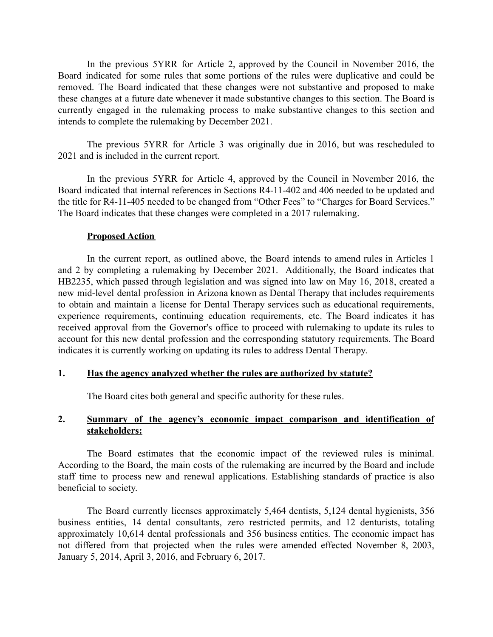In the previous 5YRR for Article 2, approved by the Council in November 2016, the Board indicated for some rules that some portions of the rules were duplicative and could be removed. The Board indicated that these changes were not substantive and proposed to make these changes at a future date whenever it made substantive changes to this section. The Board is currently engaged in the rulemaking process to make substantive changes to this section and intends to complete the rulemaking by December 2021.

The previous 5YRR for Article 3 was originally due in 2016, but was rescheduled to 2021 and is included in the current report.

In the previous 5YRR for Article 4, approved by the Council in November 2016, the Board indicated that internal references in Sections R4-11-402 and 406 needed to be updated and the title for R4-11-405 needed to be changed from "Other Fees" to "Charges for Board Services." The Board indicates that these changes were completed in a 2017 rulemaking.

#### **Proposed Action**

In the current report, as outlined above, the Board intends to amend rules in Articles 1 and 2 by completing a rulemaking by December 2021. Additionally, the Board indicates that HB2235, which passed through legislation and was signed into law on May 16, 2018, created a new mid-level dental profession in Arizona known as Dental Therapy that includes requirements to obtain and maintain a license for Dental Therapy services such as educational requirements, experience requirements, continuing education requirements, etc. The Board indicates it has received approval from the Governor's office to proceed with rulemaking to update its rules to account for this new dental profession and the corresponding statutory requirements. The Board indicates it is currently working on updating its rules to address Dental Therapy.

#### **1. Has the agency analyzed whether the rules are authorized by statute?**

The Board cites both general and specific authority for these rules.

#### **2. Summary of the agency's economic impact comparison and identification of stakeholders:**

The Board estimates that the economic impact of the reviewed rules is minimal. According to the Board, the main costs of the rulemaking are incurred by the Board and include staff time to process new and renewal applications. Establishing standards of practice is also beneficial to society.

The Board currently licenses approximately 5,464 dentists, 5,124 dental hygienists, 356 business entities, 14 dental consultants, zero restricted permits, and 12 denturists, totaling approximately 10,614 dental professionals and 356 business entities. The economic impact has not differed from that projected when the rules were amended effected November 8, 2003, January 5, 2014, April 3, 2016, and February 6, 2017.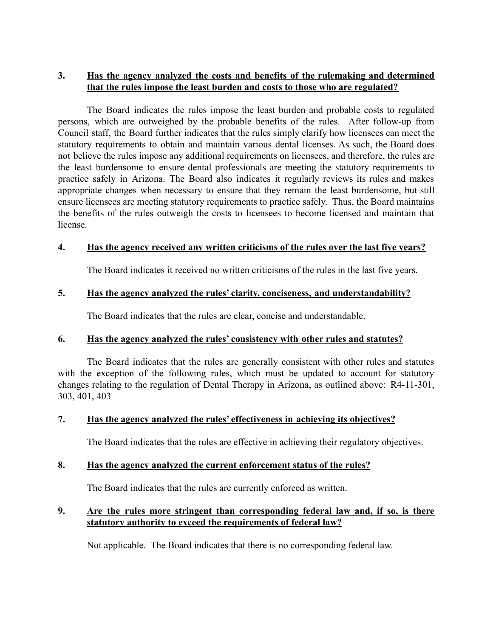# **3. Has the agency analyzed the costs and benefits of the rulemaking and determined that the rules impose the least burden and costs to those who are regulated?**

The Board indicates the rules impose the least burden and probable costs to regulated persons, which are outweighed by the probable benefits of the rules. After follow-up from Council staff, the Board further indicates that the rules simply clarify how licensees can meet the statutory requirements to obtain and maintain various dental licenses. As such, the Board does not believe the rules impose any additional requirements on licensees, and therefore, the rules are the least burdensome to ensure dental professionals are meeting the statutory requirements to practice safely in Arizona. The Board also indicates it regularly reviews its rules and makes appropriate changes when necessary to ensure that they remain the least burdensome, but still ensure licensees are meeting statutory requirements to practice safely. Thus, the Board maintains the benefits of the rules outweigh the costs to licensees to become licensed and maintain that license.

## **4. Has the agency received any written criticisms of the rules over the last five years?**

The Board indicates it received no written criticisms of the rules in the last five years.

# **5. Has the agency analyzed the rules' clarity, conciseness, and understandability?**

The Board indicates that the rules are clear, concise and understandable.

# **6. Has the agency analyzed the rules' consistency with other rules and statutes?**

The Board indicates that the rules are generally consistent with other rules and statutes with the exception of the following rules, which must be updated to account for statutory changes relating to the regulation of Dental Therapy in Arizona, as outlined above: R4-11-301, 303, 401, 403

# **7. Has the agency analyzed the rules' effectiveness in achieving its objectives?**

The Board indicates that the rules are effective in achieving their regulatory objectives.

# **8. Has the agency analyzed the current enforcement status of the rules?**

The Board indicates that the rules are currently enforced as written.

# **9. Are the rules more stringent than corresponding federal law and, if so, is there statutory authority to exceed the requirements of federal law?**

Not applicable. The Board indicates that there is no corresponding federal law.